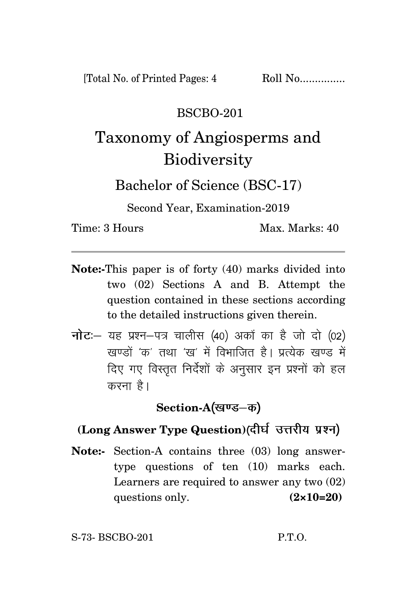#### BSCBO-201

# Taxonomy of Angiosperms and **Biodiversity**

Bachelor of Science (BSC-17)

Second Year, Examination-2019

Time: 3 Hours Max. Marks: 40

- **Note:-**This paper is of forty (40) marks divided into two (02) Sections A and B. Attempt the question contained in these sections according to the detailed instructions given therein.
- नोट: यह प्रश्न-पत्र चालीस (40) अकों का है जो दो (02) रवण्डों 'क्र' तथा 'रव' में विभाजित है। पत्येक रवण्ड में दिए गए विस्तृत निर्देशों के अनुसार इन प्रश्नों को हल करना है।

Section-A(खण्ड–क)

### **(Long Answer Type Question)**

**Note:-** Section-A contains three (03) long answertype questions of ten (10) marks each. Learners are required to answer any two (02) questions only. **(2×10=20)**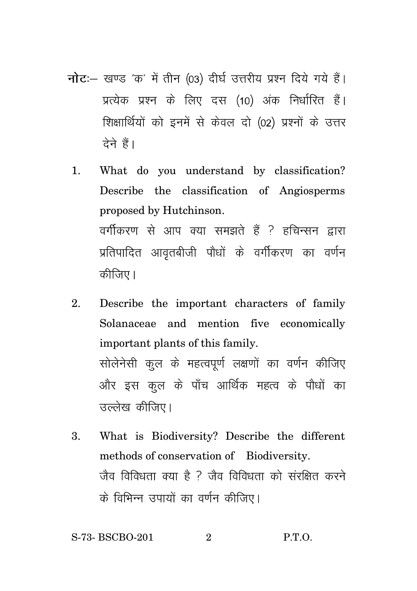- नोट: खण्ड 'क' में तीन (03) दीर्घ उत्तरीय प्रश्न दिये गये हैं। प्रत्येक प्रश्न के लिए दस (10) अंक निर्धारित हैं। शिक्षार्थियों को इनमें से केवल दो (02) प्रश्नों के उत्तर टेने हैं।
	- 1. What do you understand by classification? Describe the classification of Angiosperms proposed by Hutchinson. वर्गीकरण से आप क्या समझते हैं ? हचिन्सन द्वारा प्रतिपादित आवृतबीजी पौधों के वर्गीकरण का वर्णन कीजिए।
	- 2. Describe the important characters of family Solanaceae and mention five economically important plants of this family. सोलेनेसी कूल के महत्वपूर्ण लक्षणों का वर्णन कीजिए और इस कुल के पाँच आर्थिक महत्व के पौधों का उल्लेख कीजिए।
	- 3. What is Biodiversity? Describe the different methods of conservation of Biodiversity. जैव विविधता क्या है ? जैव विविधता को संरक्षित करने के विभिन्न उपायों का वर्णन कीजिए।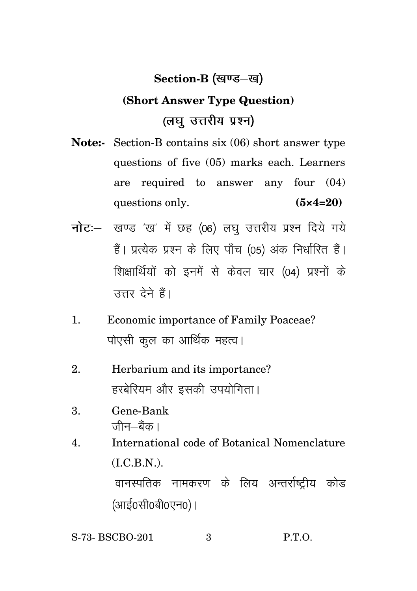### **Section-B**

## **(Short Answer Type Question)** (लघु उत्तरीय प्रश्न)

- **Note:-** Section-B contains six (06) short answer type questions of five (05) marks each. Learners are required to answer any four (04) questions only. **(5×4=20)**
- नोट :- खण्ड 'ख' में छह (06) लघु उत्तरीय प्रश्न दिये गये हैं। प्रत्येक प्रश्न के लिए पाँच (05) अंक निर्धारित हैं। शिक्षार्थियों को इनमें से केवल चार (04) प्रश्नों के उत्तर देने हैं।
- 1. Economic importance of Family Poaceae? पोएसी कूल का आर्थिक महत्व।
- 2. Herbarium and its importance? हरबेरियम और इसकी उपयोगिता।
- 3. Gene-Bank जीन—बैंक ।
- 4. International code of Botanical Nomenclature  $(I.C.B.N.)$ . वानस्पतिक नामकरण के लिय अन्तर्राष्टीय कोड (आई0सी0बी0एन0)।
- S-73- BSCBO-201 3 P.T.O.